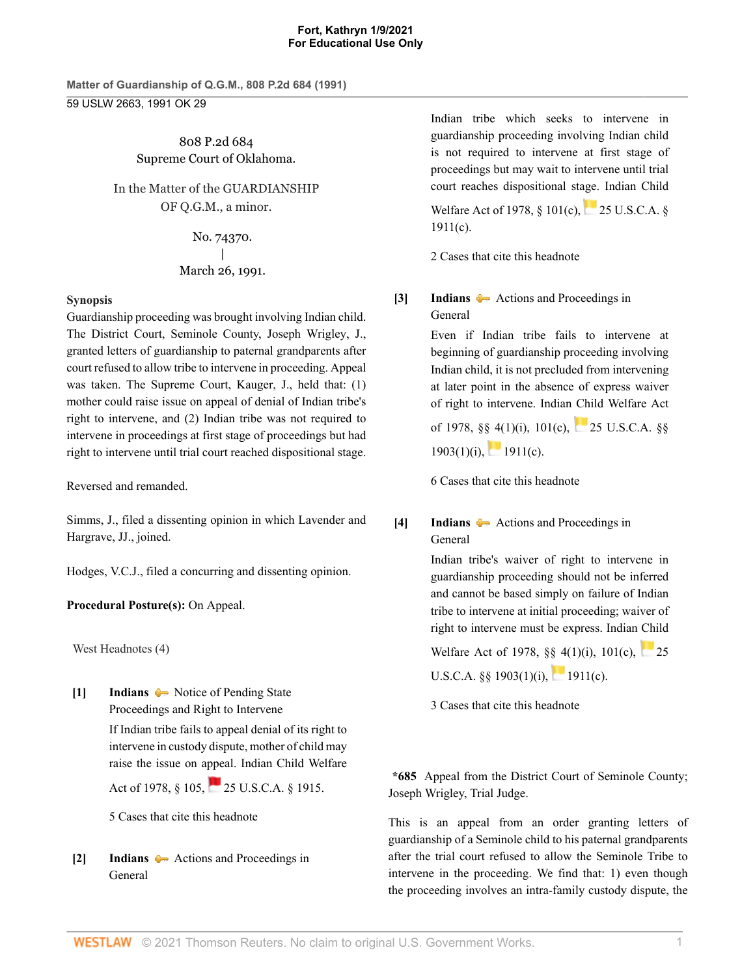**Matter of Guardianship of Q.G.M., 808 P.2d 684 (1991)** 59 USLW 2663, 1991 OK 29

> 808 P.2d 684 Supreme Court of Oklahoma.

In the Matter of the GUARDIANSHIP OF Q.G.M., a minor.

> No. 74370. | March 26, 1991.

## **Synopsis**

Guardianship proceeding was brought involving Indian child. The District Court, Seminole County, [Joseph Wrigley,](http://www.westlaw.com/Link/Document/FullText?findType=h&pubNum=176284&cite=0176969001&originatingDoc=I4fd57e5ef5a911d9b386b232635db992&refType=RQ&originationContext=document&vr=3.0&rs=cblt1.0&transitionType=DocumentItem&contextData=(sc.Search)) J., granted letters of guardianship to paternal grandparents after court refused to allow tribe to intervene in proceeding. Appeal was taken. The Supreme Court, [Kauger](http://www.westlaw.com/Link/Document/FullText?findType=h&pubNum=176284&cite=0241378201&originatingDoc=I4fd57e5ef5a911d9b386b232635db992&refType=RQ&originationContext=document&vr=3.0&rs=cblt1.0&transitionType=DocumentItem&contextData=(sc.Search)), J., held that: (1) mother could raise issue on appeal of denial of Indian tribe's right to intervene, and (2) Indian tribe was not required to intervene in proceedings at first stage of proceedings but had right to intervene until trial court reached dispositional stage.

Reversed and remanded.

[Simms,](http://www.westlaw.com/Link/Document/FullText?findType=h&pubNum=176284&cite=0200866001&originatingDoc=I4fd57e5ef5a911d9b386b232635db992&refType=RQ&originationContext=document&vr=3.0&rs=cblt1.0&transitionType=DocumentItem&contextData=(sc.Search)) J., filed a dissenting opinion in which [Lavender](http://www.westlaw.com/Link/Document/FullText?findType=h&pubNum=176284&cite=0235705801&originatingDoc=I4fd57e5ef5a911d9b386b232635db992&refType=RQ&originationContext=document&vr=3.0&rs=cblt1.0&transitionType=DocumentItem&contextData=(sc.Search)) and [Hargrave,](http://www.westlaw.com/Link/Document/FullText?findType=h&pubNum=176284&cite=0200866801&originatingDoc=I4fd57e5ef5a911d9b386b232635db992&refType=RQ&originationContext=document&vr=3.0&rs=cblt1.0&transitionType=DocumentItem&contextData=(sc.Search)) JJ., joined.

Hodges, V.C.J., filed a concurring and dissenting opinion.

# **Procedural Posture(s):** On Appeal.

West Headnotes (4)

<span id="page-0-0"></span>**[\[1\]](#page-2-0) [Indians](http://www.westlaw.com/Browse/Home/KeyNumber/209/View.html?docGuid=I4fd57e5ef5a911d9b386b232635db992&originationContext=document&vr=3.0&rs=cblt1.0&transitionType=DocumentItem&contextData=(sc.Search))**  $\bullet\bullet$  [Notice of Pending State](http://www.westlaw.com/Browse/Home/KeyNumber/209k134(5)/View.html?docGuid=I4fd57e5ef5a911d9b386b232635db992&originationContext=document&vr=3.0&rs=cblt1.0&transitionType=DocumentItem&contextData=(sc.Search)) [Proceedings and Right to Intervene](http://www.westlaw.com/Browse/Home/KeyNumber/209k134(5)/View.html?docGuid=I4fd57e5ef5a911d9b386b232635db992&originationContext=document&vr=3.0&rs=cblt1.0&transitionType=DocumentItem&contextData=(sc.Search))

If Indian tribe fails to appeal denial of its right to intervene in custody dispute, mother of child may raise the issue on appeal. Indian Child Welfare

Act of 1978, § 105, [25 U.S.C.A. § 1915.](http://www.westlaw.com/Link/Document/FullText?findType=L&pubNum=1000546&cite=25USCAS1915&originatingDoc=I4fd57e5ef5a911d9b386b232635db992&refType=LQ&originationContext=document&vr=3.0&rs=cblt1.0&transitionType=DocumentItem&contextData=(sc.Search))

[5 Cases that cite this headnote](http://www.westlaw.com/Link/RelatedInformation/DocHeadnoteLink?docGuid=I4fd57e5ef5a911d9b386b232635db992&headnoteId=199106110000120070503221043&originationContext=document&vr=3.0&rs=cblt1.0&transitionType=CitingReferences&contextData=(sc.Search))

<span id="page-0-1"></span>**[\[2\]](#page-2-1) [Indians](http://www.westlaw.com/Browse/Home/KeyNumber/209/View.html?docGuid=I4fd57e5ef5a911d9b386b232635db992&originationContext=document&vr=3.0&rs=cblt1.0&transitionType=DocumentItem&contextData=(sc.Search))** [Actions and Proceedings in](http://www.westlaw.com/Browse/Home/KeyNumber/209k134(4)/View.html?docGuid=I4fd57e5ef5a911d9b386b232635db992&originationContext=document&vr=3.0&rs=cblt1.0&transitionType=DocumentItem&contextData=(sc.Search)) [General](http://www.westlaw.com/Browse/Home/KeyNumber/209k134(4)/View.html?docGuid=I4fd57e5ef5a911d9b386b232635db992&originationContext=document&vr=3.0&rs=cblt1.0&transitionType=DocumentItem&contextData=(sc.Search))

Indian tribe which seeks to intervene in guardianship proceeding involving Indian child is not required to intervene at first stage of proceedings but may wait to intervene until trial court reaches dispositional stage. Indian Child

WelfareAct of 1978, § 101(c), [25 U.S.C.A. §](http://www.westlaw.com/Link/Document/FullText?findType=L&pubNum=1000546&cite=25USCAS1911&originatingDoc=I4fd57e5ef5a911d9b386b232635db992&refType=LQ&originationContext=document&vr=3.0&rs=cblt1.0&transitionType=DocumentItem&contextData=(sc.Search)) [1911\(c\)](http://www.westlaw.com/Link/Document/FullText?findType=L&pubNum=1000546&cite=25USCAS1911&originatingDoc=I4fd57e5ef5a911d9b386b232635db992&refType=LQ&originationContext=document&vr=3.0&rs=cblt1.0&transitionType=DocumentItem&contextData=(sc.Search)).

[2 Cases that cite this headnote](http://www.westlaw.com/Link/RelatedInformation/DocHeadnoteLink?docGuid=I4fd57e5ef5a911d9b386b232635db992&headnoteId=199106110000220070503221043&originationContext=document&vr=3.0&rs=cblt1.0&transitionType=CitingReferences&contextData=(sc.Search))

<span id="page-0-2"></span>**[\[3\]](#page-2-2) [Indians](http://www.westlaw.com/Browse/Home/KeyNumber/209/View.html?docGuid=I4fd57e5ef5a911d9b386b232635db992&originationContext=document&vr=3.0&rs=cblt1.0&transitionType=DocumentItem&contextData=(sc.Search))**  $\rightarrow$  [Actions and Proceedings in](http://www.westlaw.com/Browse/Home/KeyNumber/209k134(4)/View.html?docGuid=I4fd57e5ef5a911d9b386b232635db992&originationContext=document&vr=3.0&rs=cblt1.0&transitionType=DocumentItem&contextData=(sc.Search)) [General](http://www.westlaw.com/Browse/Home/KeyNumber/209k134(4)/View.html?docGuid=I4fd57e5ef5a911d9b386b232635db992&originationContext=document&vr=3.0&rs=cblt1.0&transitionType=DocumentItem&contextData=(sc.Search))

> Even if Indian tribe fails to intervene at beginning of guardianship proceeding involving Indian child, it is not precluded from intervening at later point in the absence of express waiver of right to intervene. Indian Child Welfare Act of 1978, §§ 4(1)(i), 101(c), [25 U.S.C.A. §§](http://www.westlaw.com/Link/Document/FullText?findType=L&pubNum=1000546&cite=25USCAS1903&originatingDoc=I4fd57e5ef5a911d9b386b232635db992&refType=LQ&originationContext=document&vr=3.0&rs=cblt1.0&transitionType=DocumentItem&contextData=(sc.Search))

 $1903(1)(i)$ , [1911\(c\)](http://www.westlaw.com/Link/Document/FullText?findType=L&pubNum=1000546&cite=25USCAS1911&originatingDoc=I4fd57e5ef5a911d9b386b232635db992&refType=LQ&originationContext=document&vr=3.0&rs=cblt1.0&transitionType=DocumentItem&contextData=(sc.Search)).

[6 Cases that cite this headnote](http://www.westlaw.com/Link/RelatedInformation/DocHeadnoteLink?docGuid=I4fd57e5ef5a911d9b386b232635db992&headnoteId=199106110000320070503221043&originationContext=document&vr=3.0&rs=cblt1.0&transitionType=CitingReferences&contextData=(sc.Search))

# <span id="page-0-3"></span>**[\[4\]](#page-2-3) [Indians](http://www.westlaw.com/Browse/Home/KeyNumber/209/View.html?docGuid=I4fd57e5ef5a911d9b386b232635db992&originationContext=document&vr=3.0&rs=cblt1.0&transitionType=DocumentItem&contextData=(sc.Search))**  $\rightarrow$  [Actions and Proceedings in](http://www.westlaw.com/Browse/Home/KeyNumber/209k134(4)/View.html?docGuid=I4fd57e5ef5a911d9b386b232635db992&originationContext=document&vr=3.0&rs=cblt1.0&transitionType=DocumentItem&contextData=(sc.Search)) [General](http://www.westlaw.com/Browse/Home/KeyNumber/209k134(4)/View.html?docGuid=I4fd57e5ef5a911d9b386b232635db992&originationContext=document&vr=3.0&rs=cblt1.0&transitionType=DocumentItem&contextData=(sc.Search))

Indian tribe's waiver of right to intervene in guardianship proceeding should not be inferred and cannot be based simply on failure of Indian tribe to intervene at initial proceeding; waiver of right to intervene must be express. Indian Child

Welfare Act of 1978, §§ 4(1)(i), 101(c), [25](http://www.westlaw.com/Link/Document/FullText?findType=L&pubNum=1000546&cite=25USCAS1903&originatingDoc=I4fd57e5ef5a911d9b386b232635db992&refType=LQ&originationContext=document&vr=3.0&rs=cblt1.0&transitionType=DocumentItem&contextData=(sc.Search)) U.S.C.A. $\&$  1903(1)(i), [1911\(c\).](http://www.westlaw.com/Link/Document/FullText?findType=L&pubNum=1000546&cite=25USCAS1911&originatingDoc=I4fd57e5ef5a911d9b386b232635db992&refType=LQ&originationContext=document&vr=3.0&rs=cblt1.0&transitionType=DocumentItem&contextData=(sc.Search))

[3 Cases that cite this headnote](http://www.westlaw.com/Link/RelatedInformation/DocHeadnoteLink?docGuid=I4fd57e5ef5a911d9b386b232635db992&headnoteId=199106110000420070503221043&originationContext=document&vr=3.0&rs=cblt1.0&transitionType=CitingReferences&contextData=(sc.Search))

**\*685** Appeal from the District Court of Seminole County; Joseph Wrigley, Trial Judge.

This is an appeal from an order granting letters of guardianship of a Seminole child to his paternal grandparents after the trial court refused to allow the Seminole Tribe to intervene in the proceeding. We find that: 1) even though the proceeding involves an intra-family custody dispute, the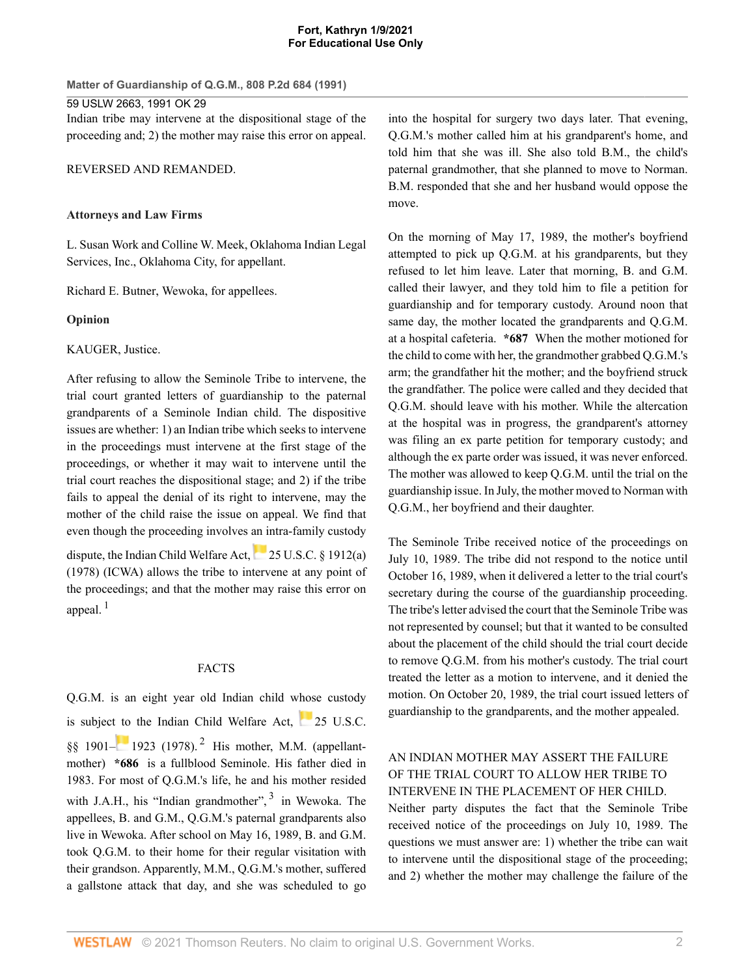**Matter of Guardianship of Q.G.M., 808 P.2d 684 (1991)**

59 USLW 2663, 1991 OK 29 Indian tribe may intervene at the dispositional stage of the proceeding and; 2) the mother may raise this error on appeal.

REVERSED AND REMANDED.

## **Attorneys and Law Firms**

[L. Susan Work](http://www.westlaw.com/Link/Document/FullText?findType=h&pubNum=176284&cite=0126783201&originatingDoc=I4fd57e5ef5a911d9b386b232635db992&refType=RQ&originationContext=document&vr=3.0&rs=cblt1.0&transitionType=DocumentItem&contextData=(sc.Search)) and Colline W. Meek, Oklahoma Indian Legal Services, Inc., Oklahoma City, for appellant.

[Richard E. Butner](http://www.westlaw.com/Link/Document/FullText?findType=h&pubNum=176284&cite=0117453501&originatingDoc=I4fd57e5ef5a911d9b386b232635db992&refType=RQ&originationContext=document&vr=3.0&rs=cblt1.0&transitionType=DocumentItem&contextData=(sc.Search)), Wewoka, for appellees.

## **Opinion**

[KAUGER,](http://www.westlaw.com/Link/Document/FullText?findType=h&pubNum=176284&cite=0241378201&originatingDoc=I4fd57e5ef5a911d9b386b232635db992&refType=RQ&originationContext=document&vr=3.0&rs=cblt1.0&transitionType=DocumentItem&contextData=(sc.Search)) Justice.

After refusing to allow the Seminole Tribe to intervene, the trial court granted letters of guardianship to the paternal grandparents of a Seminole Indian child. The dispositive issues are whether: 1) an Indian tribe which seeks to intervene in the proceedings must intervene at the first stage of the proceedings, or whether it may wait to intervene until the trial court reaches the dispositional stage; and 2) if the tribe fails to appeal the denial of its right to intervene, may the mother of the child raise the issue on appeal. We find that even though the proceeding involves an intra-family custody dispute, the Indian Child Welfare Act,[25 U.S.C. § 1912\(a\)](http://www.westlaw.com/Link/Document/FullText?findType=L&pubNum=1000546&cite=25USCAS1912&originatingDoc=I4fd57e5ef5a911d9b386b232635db992&refType=LQ&originationContext=document&vr=3.0&rs=cblt1.0&transitionType=DocumentItem&contextData=(sc.Search)) [\(1978\) \(ICWA\)](http://www.westlaw.com/Link/Document/FullText?findType=L&pubNum=1000546&cite=25USCAS1912&originatingDoc=I4fd57e5ef5a911d9b386b232635db992&refType=LQ&originationContext=document&vr=3.0&rs=cblt1.0&transitionType=DocumentItem&contextData=(sc.Search)) allows the tribe to intervene at any point of the proceedings; and that the mother may raise this error on appeal. $1$ 

### <span id="page-1-1"></span>FACTS

<span id="page-1-0"></span>Q.G.M. is an eight year old Indian child whose custody is subject [to](https://1.next.westlaw.com/Link/RelatedInformation/Flag?documentGuid=NAFA8E4F0A53911D88BD68431AAB79FF6&transitionType=InlineKeyCiteFlags&originationContext=docHeaderFlag&Rank=0&contextData=(sc.Search) ) the Indian Child Welfare Act, [25 U.S.C.](http://www.westlaw.com/Link/Document/FullText?findType=L&pubNum=1000546&cite=25USCAS1901&originatingDoc=I4fd57e5ef5a911d9b386b232635db992&refType=LQ&originationContext=document&vr=3.0&rs=cblt1.0&transitionType=DocumentItem&contextData=(sc.Search)) [§§ 1901–](http://www.westlaw.com/Link/Document/FullText?findType=L&pubNum=1000546&cite=25USCAS1901&originatingDoc=I4fd57e5ef5a911d9b386b232635db992&refType=LQ&originationContext=document&vr=3.0&rs=cblt1.0&transitionType=DocumentItem&contextData=(sc.Search))**19[2](#page-5-0)3** (1978).<sup>2</sup> His mother, M.M. (appellantmother) **\*686** is a fullblood Seminole. His father died in 1983. For most of Q.G.M.'s life, he and his mother resided with J.A.H., his "Indian grandmother", <sup>[3](#page-5-1)</sup> in Wewoka. The appellees, B. and G.M., Q.G.M.'s paternal grandparents also live in Wewoka. After school on May 16, 1989, B. and G.M. took Q.G.M. to their home for their regular visitation with their grandson. Apparently, M.M., Q.G.M.'s mother, suffered a [gallstone](http://www.westlaw.com/Link/Document/FullText?entityType=disease&entityId=Ibd1c3950475411db9765f9243f53508a&originationContext=document&transitionType=DocumentItem&contextData=(sc.Default)&vr=3.0&rs=cblt1.0) attack that day, and she was scheduled to go

into the hospital for surgery two days later. That evening, Q.G.M.'s mother called him at his grandparent's home, and told him that she was ill. She also told B.M., the child's paternal grandmother, that she planned to move to Norman. B.M. responded that she and her husband would oppose the move.

On the morning of May 17, 1989, the mother's boyfriend attempted to pick up Q.G.M. at his grandparents, but they refused to let him leave. Later that morning, B. and G.M. called their lawyer, and they told him to file a petition for guardianship and for temporary custody. Around noon that same day, the mother located the grandparents and Q.G.M. at a hospital cafeteria. **\*687** When the mother motioned for the child to come with her, the grandmother grabbed Q.G.M.'s arm; the grandfather hit the mother; and the boyfriend struck the grandfather. The police were called and they decided that Q.G.M. should leave with his mother. While the altercation at the hospital was in progress, the grandparent's attorney was filing an ex parte petition for temporary custody; and although the ex parte order was issued, it was never enforced. The mother was allowed to keep Q.G.M. until the trial on the guardianship issue. In July, the mother moved to Norman with Q.G.M., her boyfriend and their daughter.

The Seminole Tribe received notice of the proceedings on July 10, 1989. The tribe did not respond to the notice until October 16, 1989, when it delivered a letter to the trial court's secretary during the course of the guardianship proceeding. The tribe's letter advised the court that the Seminole Tribe was not represented by counsel; but that it wanted to be consulted about the placement of the child should the trial court decide to remove Q.G.M. from his mother's custody. The trial court treated the letter as a motion to intervene, and it denied the motion. On October 20, 1989, the trial court issued letters of guardianship to the grandparents, and the mother appealed.

# AN INDIAN MOTHER MAY ASSERT THE FAILURE OF THE TRIAL COURT TO ALLOW HER TRIBE TO INTERVENE IN THE PLACEMENT OF HER CHILD.

<span id="page-1-2"></span>Neither party disputes the fact that the Seminole Tribe received notice of the proceedings on July 10, 1989. The questions we must answer are: 1) whether the tribe can wait to intervene until the dispositional stage of the proceeding; and 2) whether the mother may challenge the failure of the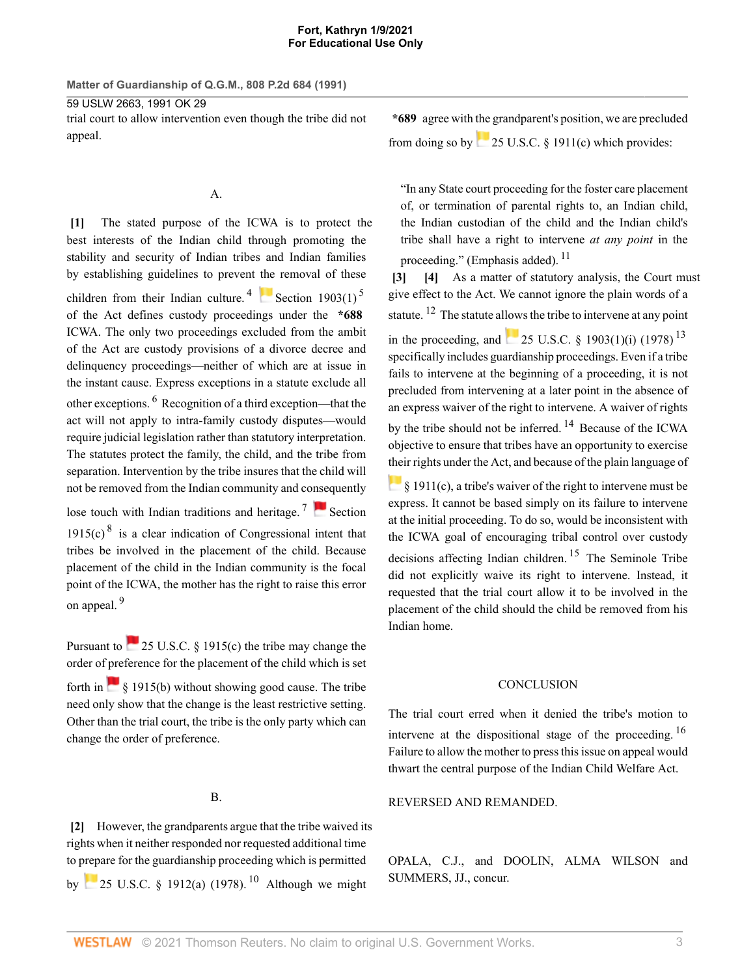**Matter of Guardianship of Q.G.M., 808 P.2d 684 (1991)**

59 USLW 2663, 1991 OK 29 trial court to allow intervention even though the tribe did not appeal.

## <span id="page-2-4"></span>A.

<span id="page-2-0"></span>**[\[1\]](#page-0-0)** The stated purpose of the ICWA is to protect the best interests of the Indian child through promoting the stability and security of Indian tribes and Indian families by establishing guidelines to prevent [the](https://1.next.westlaw.com/Link/RelatedInformation/Flag?documentGuid=NB007CDD0A53911D88BD68431AAB79FF6&transitionType=InlineKeyCiteFlags&originationContext=docHeaderFlag&Rank=0&contextData=(sc.Search) ) removal of these children from their Indian culture.<sup>[4](#page-6-0)</sup> [Section 1903\(1\)](http://www.westlaw.com/Link/Document/FullText?findType=L&pubNum=1000546&cite=25USCAS1903&originatingDoc=I4fd57e5ef5a911d9b386b232635db992&refType=LQ&originationContext=document&vr=3.0&rs=cblt1.0&transitionType=DocumentItem&contextData=(sc.Search))<sup>[5](#page-6-1)</sup> of the Act defines custody proceedings under the **\*688** ICWA. The only two proceedings excluded from the ambit of the Act are custody provisions of a divorce decree and delinquency proceedings—neither of which are at issue in the instant cause. Express exceptions in a statute exclude all other exceptions. <sup>[6](#page-7-0)</sup> Recognition of a third exception—that the act will not apply to intra-family custody disputes—would require judicial legislation rather than statutory interpretation. The statutes protect the family, the child, and the tribe from separation. Intervention by the tribe insures that the child will not be removed from the Indian community and co[nse](https://1.next.westlaw.com/Link/RelatedInformation/Flag?documentGuid=NAF5594D0A53911D88BD68431AAB79FF6&transitionType=InlineKeyCiteFlags&originationContext=docHeaderFlag&Rank=0&contextData=(sc.Search) )quently lose touch with Indian traditions and heritage.<sup>[7](#page-7-1)</sup> [Section](http://www.westlaw.com/Link/Document/FullText?findType=L&pubNum=1000546&cite=25USCAS1915&originatingDoc=I4fd57e5ef5a911d9b386b232635db992&refType=LQ&originationContext=document&vr=3.0&rs=cblt1.0&transitionType=DocumentItem&contextData=(sc.Search)) [1915\(c\)](http://www.westlaw.com/Link/Document/FullText?findType=L&pubNum=1000546&cite=25USCAS1915&originatingDoc=I4fd57e5ef5a911d9b386b232635db992&refType=LQ&originationContext=document&vr=3.0&rs=cblt1.0&transitionType=DocumentItem&contextData=(sc.Search)) $8$  is a clear indication of Congressional intent that tribes be involved in the placement of the child. Because

<span id="page-2-9"></span><span id="page-2-8"></span><span id="page-2-6"></span>placement of the child in the Indian community is the focal point of the ICWA, the mother has the right to raise this error on appeal. [9](#page-7-3)

Pursuant to  $\sim$  [25 U.S.C. § 1915\(c\)](http://www.westlaw.com/Link/Document/FullText?findType=L&pubNum=1000546&cite=25USCAS1915&originatingDoc=I4fd57e5ef5a911d9b386b232635db992&refType=LQ&originationContext=document&vr=3.0&rs=cblt1.0&transitionType=DocumentItem&contextData=(sc.Search)) the tribe may change the order of preference for the placement of the child which is set forthin  $\sim$  [§ 1915\(b\)](http://www.westlaw.com/Link/Document/FullText?findType=L&pubNum=1000546&cite=25USCAS1915&originatingDoc=I4fd57e5ef5a911d9b386b232635db992&refType=LQ&originationContext=document&vr=3.0&rs=cblt1.0&transitionType=DocumentItem&contextData=(sc.Search)) without showing good cause. The tribe need only show that the change is the least restrictive setting. Other than the trial court, the tribe is the only party which can change the order of preference.

# <span id="page-2-10"></span>B.

<span id="page-2-1"></span>**[\[2\]](#page-0-1)** However, the grandparents argue that the tribe waived its rights when it neither responded nor requested additional time to prepare for the guardianship proceeding which is permitted by  $\sim$  [25 U.S.C. § 1912\(a\) \(1978\)](http://www.westlaw.com/Link/Document/FullText?findType=L&pubNum=1000546&cite=25USCAS1912&originatingDoc=I4fd57e5ef5a911d9b386b232635db992&refType=LQ&originationContext=document&vr=3.0&rs=cblt1.0&transitionType=DocumentItem&contextData=(sc.Search)).<sup>[10](#page-7-4)</sup> Although we might

**\*689** agree with the grandparent's position, we are precluded fromdoing so by  $25 \text{ U.S.C.}$  § 1911(c) which provides:

<span id="page-2-11"></span>"In any State court proceeding for the foster care placement of, or termination of parental rights to, an Indian child, the Indian custodian of the child and the Indian child's tribe shall have a right to intervene *at any point* in the proceeding." (Emphasis added).  $^{11}$  $^{11}$  $^{11}$ 

<span id="page-2-5"></span><span id="page-2-3"></span><span id="page-2-2"></span>**[\[3\]](#page-0-2) [\[4\]](#page-0-3)** As a matter of statutory analysis, the Court must give effect to the Act. We cannot ignore the plain words of a statute.  $^{12}$  $^{12}$  $^{12}$  The statute allows the tribe to intervene at any point

<span id="page-2-13"></span><span id="page-2-12"></span>in the proceeding, and  $25$  U.S.C. § 1903(1)(i) (1978)<sup>[13](#page-8-2)</sup> specifically includes guardianship proceedings. Even if a tribe fails to intervene at the beginning of a proceeding, it is not precluded from intervening at a later point in the absence of an express waiver of the right to intervene. A waiver of rights by the tribe should not be inferred.<sup>[14](#page-8-3)</sup> Because of the ICWA objective to ensure that tribes have an opportunity to exercise [thei](https://1.next.westlaw.com/Link/RelatedInformation/Flag?documentGuid=NB212B900A53911D88BD68431AAB79FF6&transitionType=InlineKeyCiteFlags&originationContext=docHeaderFlag&Rank=0&contextData=(sc.Search) )r rights under the Act, and because of the plain language of

<span id="page-2-14"></span><span id="page-2-7"></span> $\frac{1}{2}$  [§ 1911\(c\),](http://www.westlaw.com/Link/Document/FullText?findType=L&pubNum=1000546&cite=25USCAS1911&originatingDoc=I4fd57e5ef5a911d9b386b232635db992&refType=LQ&originationContext=document&vr=3.0&rs=cblt1.0&transitionType=DocumentItem&contextData=(sc.Search)) a tribe's waiver of the right to intervene must be express. It cannot be based simply on its failure to intervene at the initial proceeding. To do so, would be inconsistent with the ICWA goal of encouraging tribal control over custody decisions affecting Indian children.  $15$  The Seminole Tribe did not explicitly waive its right to intervene. Instead, it requested that the trial court allow it to be involved in the placement of the child should the child be removed from his Indian home.

# <span id="page-2-16"></span><span id="page-2-15"></span>**CONCLUSION**

The trial court erred when it denied the tribe's motion to intervene at the dispositional stage of the proceeding.  $16$ Failure to allow the mother to press this issue on appeal would thwart the central purpose of the Indian Child Welfare Act.

### REVERSED AND REMANDED.

[OPALA](http://www.westlaw.com/Link/Document/FullText?findType=h&pubNum=176284&cite=0235676801&originatingDoc=I4fd57e5ef5a911d9b386b232635db992&refType=RQ&originationContext=document&vr=3.0&rs=cblt1.0&transitionType=DocumentItem&contextData=(sc.Search)), C.J., and DOOLIN, [ALMA WILSON](http://www.westlaw.com/Link/Document/FullText?findType=h&pubNum=176284&cite=0240190201&originatingDoc=I4fd57e5ef5a911d9b386b232635db992&refType=RQ&originationContext=document&vr=3.0&rs=cblt1.0&transitionType=DocumentItem&contextData=(sc.Search)) and [SUMMERS,](http://www.westlaw.com/Link/Document/FullText?findType=h&pubNum=176284&cite=0235326101&originatingDoc=I4fd57e5ef5a911d9b386b232635db992&refType=RQ&originationContext=document&vr=3.0&rs=cblt1.0&transitionType=DocumentItem&contextData=(sc.Search)) JJ., concur.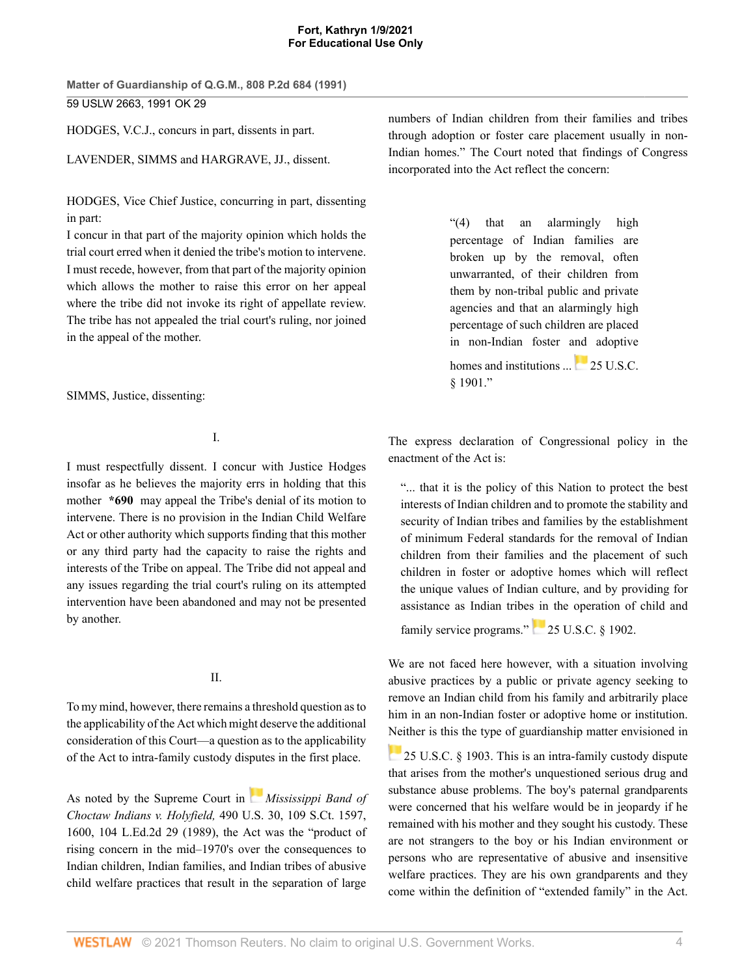**Matter of Guardianship of Q.G.M., 808 P.2d 684 (1991)** 59 USLW 2663, 1991 OK 29

[HODGES,](http://www.westlaw.com/Link/Document/FullText?findType=h&pubNum=176284&cite=0200864401&originatingDoc=I4fd57e5ef5a911d9b386b232635db992&refType=RQ&originationContext=document&vr=3.0&rs=cblt1.0&transitionType=DocumentItem&contextData=(sc.Search)) V.C.J., concurs in part, dissents in part.

[LAVENDER,](http://www.westlaw.com/Link/Document/FullText?findType=h&pubNum=176284&cite=0235705801&originatingDoc=I4fd57e5ef5a911d9b386b232635db992&refType=RQ&originationContext=document&vr=3.0&rs=cblt1.0&transitionType=DocumentItem&contextData=(sc.Search)) [SIMMS](http://www.westlaw.com/Link/Document/FullText?findType=h&pubNum=176284&cite=0200866001&originatingDoc=I4fd57e5ef5a911d9b386b232635db992&refType=RQ&originationContext=document&vr=3.0&rs=cblt1.0&transitionType=DocumentItem&contextData=(sc.Search)) and [HARGRAVE](http://www.westlaw.com/Link/Document/FullText?findType=h&pubNum=176284&cite=0200866801&originatingDoc=I4fd57e5ef5a911d9b386b232635db992&refType=RQ&originationContext=document&vr=3.0&rs=cblt1.0&transitionType=DocumentItem&contextData=(sc.Search)), JJ., dissent.

[HODGES,](http://www.westlaw.com/Link/Document/FullText?findType=h&pubNum=176284&cite=0200864401&originatingDoc=I4fd57e5ef5a911d9b386b232635db992&refType=RQ&originationContext=document&vr=3.0&rs=cblt1.0&transitionType=DocumentItem&contextData=(sc.Search)) Vice Chief Justice, concurring in part, dissenting in part:

I concur in that part of the majority opinion which holds the trial court erred when it denied the tribe's motion to intervene. I must recede, however, from that part of the majority opinion which allows the mother to raise this error on her appeal where the tribe did not invoke its right of appellate review. The tribe has not appealed the trial court's ruling, nor joined in the appeal of the mother.

[SIMMS](http://www.westlaw.com/Link/Document/FullText?findType=h&pubNum=176284&cite=0200866001&originatingDoc=I4fd57e5ef5a911d9b386b232635db992&refType=RQ&originationContext=document&vr=3.0&rs=cblt1.0&transitionType=DocumentItem&contextData=(sc.Search)), Justice, dissenting:

I.

I must respectfully dissent. I concur with Justice Hodges insofar as he believes the majority errs in holding that this mother **\*690** may appeal the Tribe's denial of its motion to intervene. There is no provision in the Indian Child Welfare Act or other authority which supports finding that this mother or any third party had the capacity to raise the rights and interests of the Tribe on appeal. The Tribe did not appeal and any issues regarding the trial court's ruling on its attempted intervention have been abandoned and may not be presented by another.

## II.

To my mind, however, there remains a threshold question as to the applicability of the Act which might deserve the additional consideration of this Court—a question as to the applicability of the Act to intra-family custody disputes in the first place.

As noted by the Supreme Court in *[Mississippi Band of](http://www.westlaw.com/Link/Document/FullText?findType=Y&serNum=1989048372&pubNum=708&originatingDoc=I4fd57e5ef5a911d9b386b232635db992&refType=RP&fi=co_pp_sp_708_1600&originationContext=document&vr=3.0&rs=cblt1.0&transitionType=DocumentItem&contextData=(sc.Search)#co_pp_sp_708_1600) Choctaw Indians v. Holyfield,* [490 U.S. 30, 109 S.Ct. 1597,](http://www.westlaw.com/Link/Document/FullText?findType=Y&serNum=1989048372&pubNum=708&originatingDoc=I4fd57e5ef5a911d9b386b232635db992&refType=RP&fi=co_pp_sp_708_1600&originationContext=document&vr=3.0&rs=cblt1.0&transitionType=DocumentItem&contextData=(sc.Search)#co_pp_sp_708_1600) [1600, 104 L.Ed.2d 29 \(1989\),](http://www.westlaw.com/Link/Document/FullText?findType=Y&serNum=1989048372&pubNum=708&originatingDoc=I4fd57e5ef5a911d9b386b232635db992&refType=RP&fi=co_pp_sp_708_1600&originationContext=document&vr=3.0&rs=cblt1.0&transitionType=DocumentItem&contextData=(sc.Search)#co_pp_sp_708_1600) the Act was the "product of rising concern in the mid–1970's over the consequences to Indian children, Indian families, and Indian tribes of abusive child welfare practices that result in the separation of large

numbers of Indian children from their families and tribes through adoption or foster care placement usually in non-Indian homes." The Court noted that findings of Congress incorporated into the Act reflect the concern:

> "(4) that an alarmingly high percentage of Indian families are broken up by the removal, often unwarranted, of their children from them by non-tribal public and private agencies and that an alarmingly high percentage of such children are placed in non-Indian foster and adoptive

homesand institutions ... [25 U.S.C.](http://www.westlaw.com/Link/Document/FullText?findType=L&pubNum=1000546&cite=25USCAS1901&originatingDoc=I4fd57e5ef5a911d9b386b232635db992&refType=LQ&originationContext=document&vr=3.0&rs=cblt1.0&transitionType=DocumentItem&contextData=(sc.Search))  $$1901"$ 

The express declaration of Congressional policy in the enactment of the Act is:

"... that it is the policy of this Nation to protect the best interests of Indian children and to promote the stability and security of Indian tribes and families by the establishment of minimum Federal standards for the removal of Indian children from their families and the placement of such children in foster or adoptive homes which will reflect the unique values of Indian culture, and by providing for assistance as Indian tribes in the operation of child and

family service programs." [25 U.S.C. § 1902.](http://www.westlaw.com/Link/Document/FullText?findType=L&pubNum=1000546&cite=25USCAS1902&originatingDoc=I4fd57e5ef5a911d9b386b232635db992&refType=LQ&originationContext=document&vr=3.0&rs=cblt1.0&transitionType=DocumentItem&contextData=(sc.Search))

We are not faced here however, with a situation involving abusive practices by a public or private agency seeking to remove an Indian child from his family and arbitrarily place him in an non-Indian foster or adoptive home or institution. [Nei](https://1.next.westlaw.com/Link/RelatedInformation/Flag?documentGuid=NB007CDD0A53911D88BD68431AAB79FF6&transitionType=InlineKeyCiteFlags&originationContext=docHeaderFlag&Rank=0&contextData=(sc.Search) )ther is this the type of guardianship matter envisioned in

**[25 U.S.C. § 1903.](http://www.westlaw.com/Link/Document/FullText?findType=L&pubNum=1000546&cite=25USCAS1903&originatingDoc=I4fd57e5ef5a911d9b386b232635db992&refType=LQ&originationContext=document&vr=3.0&rs=cblt1.0&transitionType=DocumentItem&contextData=(sc.Search)) This is an intra-family custody dispute** that arises from the mother's unquestioned serious drug and substance abuse problems. The boy's paternal grandparents were concerned that his welfare would be in jeopardy if he remained with his mother and they sought his custody. These are not strangers to the boy or his Indian environment or persons who are representative of abusive and insensitive welfare practices. They are his own grandparents and they come within the definition of "extended family" in the Act.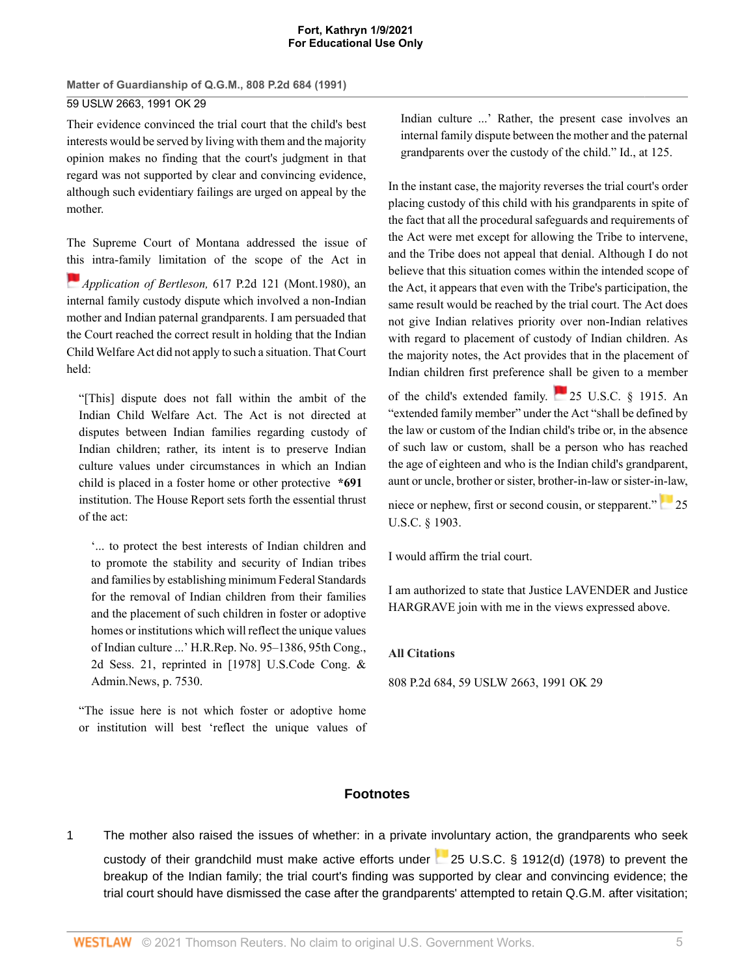**Matter of Guardianship of Q.G.M., 808 P.2d 684 (1991)** 59 USLW 2663, 1991 OK 29

Their evidence convinced the trial court that the child's best interests would be served by living with them and the majority opinion makes no finding that the court's judgment in that regard was not supported by clear and convincing evidence, although such evidentiary failings are urged on appeal by the mother.

The Supreme Court of Montana addressed the issue of [this](https://1.next.westlaw.com/Link/RelatedInformation/Flag?documentGuid=I7f1aa7caf53711d99439b076ef9ec4de&transitionType=InlineKeyCiteFlags&originationContext=docHeaderFlag&Rank=0&contextData=(sc.Search) ) intra-family limitation of the scope of the Act in *Application of Bertleson,* [617 P.2d 121 \(Mont.1980\)](http://www.westlaw.com/Link/Document/FullText?findType=Y&serNum=1980138499&pubNum=661&originatingDoc=I4fd57e5ef5a911d9b386b232635db992&refType=RP&originationContext=document&vr=3.0&rs=cblt1.0&transitionType=DocumentItem&contextData=(sc.Search)), an internal family custody dispute which involved a non-Indian mother and Indian paternal grandparents. I am persuaded that the Court reached the correct result in holding that the Indian Child Welfare Act did not apply to such a situation. That Court held:

"[This] dispute does not fall within the ambit of the Indian Child Welfare Act. The Act is not directed at disputes between Indian families regarding custody of Indian children; rather, its intent is to preserve Indian culture values under circumstances in which an Indian child is placed in a foster home or other protective **\*691** institution. The House Report sets forth the essential thrust of the act:

'... to protect the best interests of Indian children and to promote the stability and security of Indian tribes and families by establishing minimum Federal Standards for the removal of Indian children from their families and the placement of such children in foster or adoptive homes or institutions which will reflect the unique values of Indian culture ...' [H.R.Rep. No. 95–1386,](http://www.westlaw.com/Link/Document/FullText?findType=Y&serNum=0100368773&pubNum=0100014&originatingDoc=I4fd57e5ef5a911d9b386b232635db992&refType=TV&originationContext=document&vr=3.0&rs=cblt1.0&transitionType=DocumentItem&contextData=(sc.Search)) 95th Cong., 2d Sess. 21, reprinted in [1978] U.S.Code Cong. & Admin.News, p. 7530.

"The issue here is not which foster or adoptive home or institution will best 'reflect the unique values of Indian culture ...' Rather, the present case involves an internal family dispute between the mother and the paternal grandparents over the custody of the child." Id., at 125.

In the instant case, the majority reverses the trial court's order placing custody of this child with his grandparents in spite of the fact that all the procedural safeguards and requirements of the Act were met except for allowing the Tribe to intervene, and the Tribe does not appeal that denial. Although I do not believe that this situation comes within the intended scope of the Act, it appears that even with the Tribe's participation, the same result would be reached by the trial court. The Act does not give Indian relatives priority over non-Indian relatives with regard to placement of custody of Indian children. As the majority notes, the Act provides that in the placement of Indian children first preference shall be given to a member

of the child's extended family. [25 U.S.C. § 1915](http://www.westlaw.com/Link/Document/FullText?findType=L&pubNum=1000546&cite=25USCAS1915&originatingDoc=I4fd57e5ef5a911d9b386b232635db992&refType=LQ&originationContext=document&vr=3.0&rs=cblt1.0&transitionType=DocumentItem&contextData=(sc.Search)). An "extended family member" under the Act "shall be defined by the law or custom of the Indian child's tribe or, in the absence of such law or custom, shall be a person who has reached the age of eighteen and who is the Indian child's grandparent, aunt or uncle, brother or sister, brother-in-law or sister-in-law,

nieceor nephew, first or second cousin, or stepparent." [25](http://www.westlaw.com/Link/Document/FullText?findType=L&pubNum=1000546&cite=25USCAS1903&originatingDoc=I4fd57e5ef5a911d9b386b232635db992&refType=LQ&originationContext=document&vr=3.0&rs=cblt1.0&transitionType=DocumentItem&contextData=(sc.Search)) [U.S.C. § 1903.](http://www.westlaw.com/Link/Document/FullText?findType=L&pubNum=1000546&cite=25USCAS1903&originatingDoc=I4fd57e5ef5a911d9b386b232635db992&refType=LQ&originationContext=document&vr=3.0&rs=cblt1.0&transitionType=DocumentItem&contextData=(sc.Search))

I would affirm the trial court.

I am authorized to state that Justice LAVENDER and Justice HARGRAVE join with me in the views expressed above.

### **All Citations**

808 P.2d 684, 59 USLW 2663, 1991 OK 29

# **Footnotes**

<span id="page-4-0"></span>[1](#page-1-0) The mother also raised the issues of whether: in a private involuntary action, the grandparents who seek custody of their grandchild must make active efforts under [25 U.S.C. § 1912\(d\) \(1978\)](http://www.westlaw.com/Link/Document/FullText?findType=L&pubNum=1000546&cite=25USCAS1912&originatingDoc=I4fd57e5ef5a911d9b386b232635db992&refType=LQ&originationContext=document&vr=3.0&rs=cblt1.0&transitionType=DocumentItem&contextData=(sc.Search)) to prevent the breakup of the Indian family; the trial court's finding was supported by clear and convincing evidence; the trial court should have dismissed the case after the grandparents' attempted to retain Q.G.M. after visitation;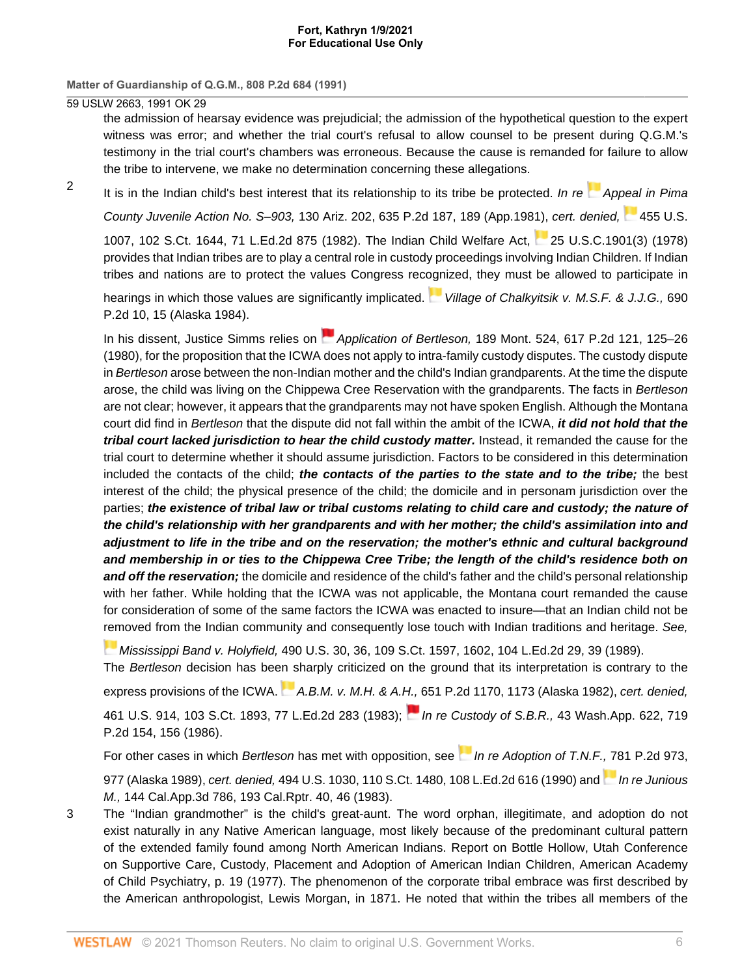**Matter of Guardianship of Q.G.M., 808 P.2d 684 (1991)**

59 USLW 2663, 1991 OK 29

<span id="page-5-0"></span>[2](#page-1-1)

the admission of hearsay evidence was prejudicial; the admission of the hypothetical question to the expert witness was error; and whether the trial court's refusal to allow counsel to be present during Q.G.M.'s testimony in the trial court's chambers was erroneous. Because the cause is remanded for failure to allow the tribe to intervene, we make no determination concerning these allegations.

It is in the Indian child's best interest that its relationship to its tribe be protected. In re [Appeal in Pima](http://www.westlaw.com/Link/Document/FullText?findType=Y&serNum=1981144965&pubNum=661&originatingDoc=I4fd57e5ef5a911d9b386b232635db992&refType=RP&fi=co_pp_sp_661_189&originationContext=document&vr=3.0&rs=cblt1.0&transitionType=DocumentItem&contextData=(sc.Search)#co_pp_sp_661_189)

County Juvenile Action No. S–903, [130 Ariz. 202, 635 P.2d 187, 189 \(App.1981\)](http://www.westlaw.com/Link/Document/FullText?findType=Y&serNum=1981144965&pubNum=661&originatingDoc=I4fd57e5ef5a911d9b386b232635db992&refType=RP&fi=co_pp_sp_661_189&originationContext=document&vr=3.0&rs=cblt1.0&transitionType=DocumentItem&contextData=(sc.Search)#co_pp_sp_661_189), cert. denied, [455 U.S.](http://www.westlaw.com/Link/Document/FullText?findType=Y&serNum=1982211004&pubNum=708&originatingDoc=I4fd57e5ef5a911d9b386b232635db992&refType=RP&originationContext=document&vr=3.0&rs=cblt1.0&transitionType=DocumentItem&contextData=(sc.Search))

[1007, 102 S.Ct. 1644, 71 L.Ed.2d 875 \(1982\)](http://www.westlaw.com/Link/Document/FullText?findType=Y&serNum=1982211004&pubNum=708&originatingDoc=I4fd57e5ef5a911d9b386b232635db992&refType=RP&originationContext=document&vr=3.0&rs=cblt1.0&transitionType=DocumentItem&contextData=(sc.Search)). The Indian Child Welfare Act, [25 U.S.C.1901\(3\) \(1978\)](http://www.westlaw.com/Link/Document/FullText?findType=L&pubNum=1000546&cite=25USCAS1901&originatingDoc=I4fd57e5ef5a911d9b386b232635db992&refType=LQ&originationContext=document&vr=3.0&rs=cblt1.0&transitionType=DocumentItem&contextData=(sc.Search)) provides that Indian tribes are to play a central role in custody proceedings involving Indian Children. If Indian tribes and nations are to protect the values Congress rec[ogn](https://1.next.westlaw.com/Link/RelatedInformation/Flag?documentGuid=I062b9742f46311d983e7e9deff98dc6f&transitionType=InlineKeyCiteFlags&originationContext=docHeaderFlag&Rank=0&contextData=(sc.Search) )ized, they must be allowed to participate in

hearings in which those values are significantly implicated. [Village of Chalkyitsik v. M.S.F. & J.J.G.,](http://www.westlaw.com/Link/Document/FullText?findType=Y&serNum=1984153131&pubNum=661&originatingDoc=I4fd57e5ef5a911d9b386b232635db992&refType=RP&fi=co_pp_sp_661_15&originationContext=document&vr=3.0&rs=cblt1.0&transitionType=DocumentItem&contextData=(sc.Search)#co_pp_sp_661_15) 690 [P.2d 10, 15 \(Alaska 1984\).](http://www.westlaw.com/Link/Document/FullText?findType=Y&serNum=1984153131&pubNum=661&originatingDoc=I4fd57e5ef5a911d9b386b232635db992&refType=RP&fi=co_pp_sp_661_15&originationContext=document&vr=3.0&rs=cblt1.0&transitionType=DocumentItem&contextData=(sc.Search)#co_pp_sp_661_15)

In his dissent, Justice Simms relies on **Application of Bertleson**, [189 Mont. 524, 617 P.2d 121, 125–26](http://www.westlaw.com/Link/Document/FullText?findType=Y&serNum=1980138499&pubNum=661&originatingDoc=I4fd57e5ef5a911d9b386b232635db992&refType=RP&fi=co_pp_sp_661_125&originationContext=document&vr=3.0&rs=cblt1.0&transitionType=DocumentItem&contextData=(sc.Search)#co_pp_sp_661_125) [\(1980\),](http://www.westlaw.com/Link/Document/FullText?findType=Y&serNum=1980138499&pubNum=661&originatingDoc=I4fd57e5ef5a911d9b386b232635db992&refType=RP&fi=co_pp_sp_661_125&originationContext=document&vr=3.0&rs=cblt1.0&transitionType=DocumentItem&contextData=(sc.Search)#co_pp_sp_661_125) for the proposition that the ICWA does not apply to intra-family custody disputes. The custody dispute in Bertleson arose between the non-Indian mother and the child's Indian grandparents. At the time the dispute arose, the child was living on the Chippewa Cree Reservation with the grandparents. The facts in Bertleson are not clear; however, it appears that the grandparents may not have spoken English. Although the Montana court did find in Bertleson that the dispute did not fall within the ambit of the ICWA, **it did not hold that the tribal court lacked jurisdiction to hear the child custody matter.** Instead, it remanded the cause for the trial court to determine whether it should assume jurisdiction. Factors to be considered in this determination included the contacts of the child; **the contacts of the parties to the state and to the tribe;** the best interest of the child; the physical presence of the child; the domicile and in personam jurisdiction over the parties; **the existence of tribal law or tribal customs relating to child care and custody; the nature of the child's relationship with her grandparents and with her mother; the child's assimilation into and adjustment to life in the tribe and on the reservation; the mother's ethnic and cultural background and membership in or ties to the Chippewa Cree Tribe; the length of the child's residence both on and off the reservation;** the domicile and residence of the child's father and the child's personal relationship with her father. While holding that the ICWA was not applicable, the Montana court remanded the cause for consideration of some of the same factors the ICWA was enacted to insure—that an Indian child not be [rem](https://1.next.westlaw.com/Link/RelatedInformation/Flag?documentGuid=I31940ed49c2511d9bdd1cfdd544ca3a4&transitionType=InlineKeyCiteFlags&originationContext=docHeaderFlag&Rank=0&contextData=(sc.Search) )oved from the Indian community and consequently lose touch with Indian traditions and heritage. See,

Mississippi Band v. Holyfield, [490 U.S. 30, 36, 109 S.Ct. 1597, 1602, 104 L.Ed.2d 29, 39 \(1989\).](http://www.westlaw.com/Link/Document/FullText?findType=Y&serNum=1989048372&pubNum=708&originatingDoc=I4fd57e5ef5a911d9b386b232635db992&refType=RP&fi=co_pp_sp_708_1602&originationContext=document&vr=3.0&rs=cblt1.0&transitionType=DocumentItem&contextData=(sc.Search)#co_pp_sp_708_1602)

The Bertleson decision has be[en s](https://1.next.westlaw.com/Link/RelatedInformation/Flag?documentGuid=Iaa3a68eaf46111d98ac8f235252e36df&transitionType=InlineKeyCiteFlags&originationContext=docHeaderFlag&Rank=0&contextData=(sc.Search) )harply criticized on the ground that its interpretation is contrary to the

express provisions of the ICWA.  $A.B.M. v. M.H. & A.H., 651 P.2d 1170, 1173 (Alaska 1982), cert. denied,$  $A.B.M. v. M.H. & A.H., 651 P.2d 1170, 1173 (Alaska 1982), cert. denied,$  $A.B.M. v. M.H. & A.H., 651 P.2d 1170, 1173 (Alaska 1982), cert. denied,$  $A.B.M. v. M.H. & A.H., 651 P.2d 1170, 1173 (Alaska 1982), cert. denied,$ 

[461 U.S. 914, 103 S.Ct. 1893, 77 L.Ed.2d 283 \(1983\);](http://www.westlaw.com/Link/Document/FullText?findType=Y&serNum=1983217319&pubNum=708&originatingDoc=I4fd57e5ef5a911d9b386b232635db992&refType=RP&originationContext=document&vr=3.0&rs=cblt1.0&transitionType=DocumentItem&contextData=(sc.Search)) In re Custody of S.B.R., [43 Wash.App. 622, 719](http://www.westlaw.com/Link/Document/FullText?findType=Y&serNum=1986124720&pubNum=661&originatingDoc=I4fd57e5ef5a911d9b386b232635db992&refType=RP&fi=co_pp_sp_661_156&originationContext=document&vr=3.0&rs=cblt1.0&transitionType=DocumentItem&contextData=(sc.Search)#co_pp_sp_661_156) [P.2d 154, 156 \(1986\).](http://www.westlaw.com/Link/Document/FullText?findType=Y&serNum=1986124720&pubNum=661&originatingDoc=I4fd57e5ef5a911d9b386b232635db992&refType=RP&fi=co_pp_sp_661_156&originationContext=document&vr=3.0&rs=cblt1.0&transitionType=DocumentItem&contextData=(sc.Search)#co_pp_sp_661_156)

For other cases in which Bertleson has met with opposition, see [In re Adoption of T.N.F.,](http://www.westlaw.com/Link/Document/FullText?findType=Y&serNum=1989155252&pubNum=661&originatingDoc=I4fd57e5ef5a911d9b386b232635db992&refType=RP&fi=co_pp_sp_661_977&originationContext=document&vr=3.0&rs=cblt1.0&transitionType=DocumentItem&contextData=(sc.Search)#co_pp_sp_661_977) [78](https://1.next.westlaw.com/Link/RelatedInformation/Flag?documentGuid=I515552a8faae11d99439b076ef9ec4de&transitionType=InlineKeyCiteFlags&originationContext=docHeaderFlag&Rank=0&contextData=(sc.Search) )1 P.2d 973, [977 \(Alaska 1989\)](http://www.westlaw.com/Link/Document/FullText?findType=Y&serNum=1989155252&pubNum=661&originatingDoc=I4fd57e5ef5a911d9b386b232635db992&refType=RP&fi=co_pp_sp_661_977&originationContext=document&vr=3.0&rs=cblt1.0&transitionType=DocumentItem&contextData=(sc.Search)#co_pp_sp_661_977), cert. denied, [494 U.S. 1030, 110 S.Ct. 1480, 108 L.Ed.2d 616 \(1990\)](http://www.westlaw.com/Link/Document/FullText?findType=Y&serNum=1990039730&pubNum=708&originatingDoc=I4fd57e5ef5a911d9b386b232635db992&refType=RP&originationContext=document&vr=3.0&rs=cblt1.0&transitionType=DocumentItem&contextData=(sc.Search)) and *[In re Junious](http://www.westlaw.com/Link/Document/FullText?findType=Y&serNum=1983132877&pubNum=227&originatingDoc=I4fd57e5ef5a911d9b386b232635db992&refType=RP&fi=co_pp_sp_227_46&originationContext=document&vr=3.0&rs=cblt1.0&transitionType=DocumentItem&contextData=(sc.Search)#co_pp_sp_227_46)* 

M., [144 Cal.App.3d 786, 193 Cal.Rptr. 40, 46 \(1983\).](http://www.westlaw.com/Link/Document/FullText?findType=Y&serNum=1983132877&pubNum=227&originatingDoc=I4fd57e5ef5a911d9b386b232635db992&refType=RP&fi=co_pp_sp_227_46&originationContext=document&vr=3.0&rs=cblt1.0&transitionType=DocumentItem&contextData=(sc.Search)#co_pp_sp_227_46)

<span id="page-5-1"></span>[3](#page-1-2) The "Indian grandmother" is the child's great-aunt. The word orphan, illegitimate, and adoption do not exist naturally in any Native American language, most likely because of the predominant cultural pattern of the extended family found among North American Indians. Report on Bottle Hollow, Utah Conference on Supportive Care, Custody, Placement and Adoption of American Indian Children, American Academy of Child Psychiatry, p. 19 (1977). The phenomenon of the corporate tribal embrace was first described by the American anthropologist, Lewis Morgan, in 1871. He noted that within the tribes all members of the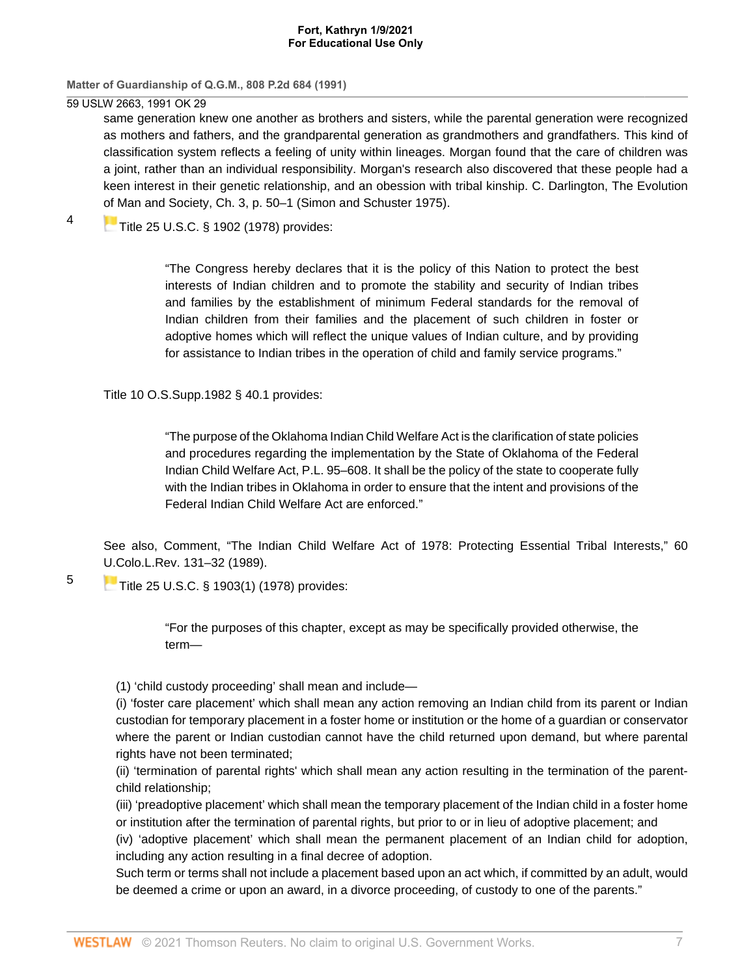**Matter of Guardianship of Q.G.M., 808 P.2d 684 (1991)**

59 USLW 2663, 1991 OK 29

same generation knew one another as brothers and sisters, while the parental generation were recognized as mothers and fathers, and the grandparental generation as grandmothers and grandfathers. This kind of classification system reflects a feeling of unity within lineages. Morgan found that the care of children was a joint, rather than an individual responsibility. Morgan's research also discovered that these people had a keen interest in their genetic relationship, and an obession with tribal kinship. C. Darlington, The Evolution [of M](https://1.next.westlaw.com/Link/RelatedInformation/Flag?documentGuid=NAF797080A53911D88BD68431AAB79FF6&transitionType=InlineKeyCiteFlags&originationContext=docHeaderFlag&Rank=0&contextData=(sc.Search) )an and Society, Ch. 3, p. 50–1 (Simon and Schuster 1975).

<span id="page-6-0"></span>[4](#page-2-4) [Title 25 U.S.C. § 1902 \(1978\)](http://www.westlaw.com/Link/Document/FullText?findType=L&pubNum=1000546&cite=25USCAS1902&originatingDoc=I4fd57e5ef5a911d9b386b232635db992&refType=LQ&originationContext=document&vr=3.0&rs=cblt1.0&transitionType=DocumentItem&contextData=(sc.Search)) provides:

> "The Congress hereby declares that it is the policy of this Nation to protect the best interests of Indian children and to promote the stability and security of Indian tribes and families by the establishment of minimum Federal standards for the removal of Indian children from their families and the placement of such children in foster or adoptive homes which will reflect the unique values of Indian culture, and by providing for assistance to Indian tribes in the operation of child and family service programs."

[Title 10 O.S.Supp.1982 § 40.1](http://www.westlaw.com/Link/Document/FullText?findType=L&pubNum=1000165&cite=OKSTT10S40.1&originatingDoc=I4fd57e5ef5a911d9b386b232635db992&refType=LQ&originationContext=document&vr=3.0&rs=cblt1.0&transitionType=DocumentItem&contextData=(sc.Search)) provides:

"The purpose of the Oklahoma Indian Child Welfare Act is the clarification of state policies and procedures regarding the implementation by the State of Oklahoma of the Federal Indian Child Welfare Act, [P.L. 95–608.](http://www.westlaw.com/Link/Document/FullText?findType=l&pubNum=1077005&cite=UUID(I9819B45CC5-864920B0079-24EB3F5CDE9)&originatingDoc=I4fd57e5ef5a911d9b386b232635db992&refType=SL&originationContext=document&vr=3.0&rs=cblt1.0&transitionType=DocumentItem&contextData=(sc.Search)) It shall be the policy of the state to cooperate fully with the Indian tribes in Oklahoma in order to ensure that the intent and provisions of the Federal Indian Child Welfare Act are enforced."

See also, Comment, "The Indian Child Welfare Act of 1978: Protecting Essential Tribal Interests," [60](http://www.westlaw.com/Link/Document/FullText?findType=Y&serNum=0102715209&pubNum=1260&originatingDoc=I4fd57e5ef5a911d9b386b232635db992&refType=LR&fi=co_pp_sp_1260_132&originationContext=document&vr=3.0&rs=cblt1.0&transitionType=DocumentItem&contextData=(sc.Search)#co_pp_sp_1260_132) [U.Colo.L.Rev. 131–32 \(1989\)](http://www.westlaw.com/Link/Document/FullText?findType=Y&serNum=0102715209&pubNum=1260&originatingDoc=I4fd57e5ef5a911d9b386b232635db992&refType=LR&fi=co_pp_sp_1260_132&originationContext=document&vr=3.0&rs=cblt1.0&transitionType=DocumentItem&contextData=(sc.Search)#co_pp_sp_1260_132).

[Title 25 U.S.C. § 1903\(1\) \(1978\)](http://www.westlaw.com/Link/Document/FullText?findType=L&pubNum=1000546&cite=25USCAS1903&originatingDoc=I4fd57e5ef5a911d9b386b232635db992&refType=LQ&originationContext=document&vr=3.0&rs=cblt1.0&transitionType=DocumentItem&contextData=(sc.Search)) provides:

<span id="page-6-1"></span>[5](#page-2-5)

"For the purposes of this chapter, except as may be specifically provided otherwise, the term—

(1) 'child custody proceeding' shall mean and include—

(i) 'foster care placement' which shall mean any action removing an Indian child from its parent or Indian custodian for temporary placement in a foster home or institution or the home of a guardian or conservator where the parent or Indian custodian cannot have the child returned upon demand, but where parental rights have not been terminated;

(ii) 'termination of parental rights' which shall mean any action resulting in the termination of the parentchild relationship;

(iii) 'preadoptive placement' which shall mean the temporary placement of the Indian child in a foster home or institution after the termination of parental rights, but prior to or in lieu of adoptive placement; and

(iv) 'adoptive placement' which shall mean the permanent placement of an Indian child for adoption, including any action resulting in a final decree of adoption.

Such term or terms shall not include a placement based upon an act which, if committed by an adult, would be deemed a crime or upon an award, in a divorce proceeding, of custody to one of the parents."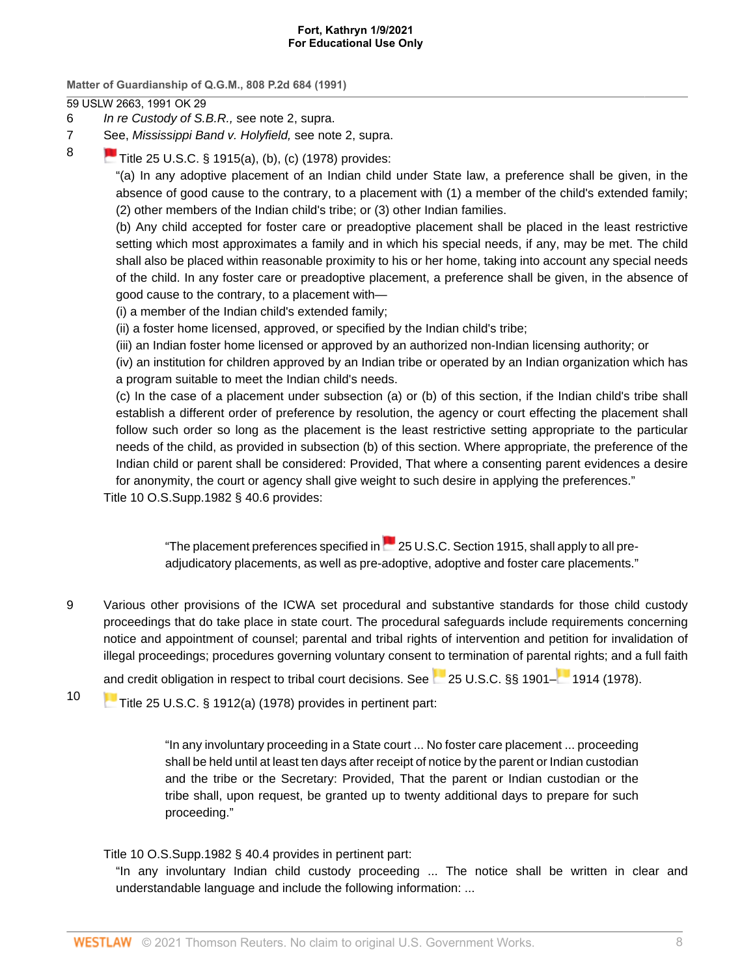**Matter of Guardianship of Q.G.M., 808 P.2d 684 (1991)**

59 USLW 2663, 1991 OK 29

- <span id="page-7-0"></span>[6](#page-2-6) In re Custody of S.B.R., see note 2, supra.
- <span id="page-7-1"></span>[7](#page-2-7) [See](https://1.next.westlaw.com/Link/RelatedInformation/Flag?documentGuid=NAF5594D0A53911D88BD68431AAB79FF6&transitionType=InlineKeyCiteFlags&originationContext=docHeaderFlag&Rank=0&contextData=(sc.Search) ), Mississippi Band v. Holyfield, see note 2, supra.
- <span id="page-7-2"></span>[8](#page-2-8)
- [Title 25 U.S.C. § 1915\(a\), \(b\), \(c\) \(1978\)](http://www.westlaw.com/Link/Document/FullText?findType=L&pubNum=1000546&cite=25USCAS1915&originatingDoc=I4fd57e5ef5a911d9b386b232635db992&refType=LQ&originationContext=document&vr=3.0&rs=cblt1.0&transitionType=DocumentItem&contextData=(sc.Search)) provides:

"(a) In any adoptive placement of an Indian child under State law, a preference shall be given, in the absence of good cause to the contrary, to a placement with (1) a member of the child's extended family; (2) other members of the Indian child's tribe; or (3) other Indian families.

(b) Any child accepted for foster care or preadoptive placement shall be placed in the least restrictive setting which most approximates a family and in which his special needs, if any, may be met. The child shall also be placed within reasonable proximity to his or her home, taking into account any special needs of the child. In any foster care or preadoptive placement, a preference shall be given, in the absence of good cause to the contrary, to a placement with—

(i) a member of the Indian child's extended family;

(ii) a foster home licensed, approved, or specified by the Indian child's tribe;

(iii) an Indian foster home licensed or approved by an authorized non-Indian licensing authority; or

(iv) an institution for children approved by an Indian tribe or operated by an Indian organization which has a program suitable to meet the Indian child's needs.

(c) In the case of a placement under subsection (a) or (b) of this section, if the Indian child's tribe shall establish a different order of preference by resolution, the agency or court effecting the placement shall follow such order so long as the placement is the least restrictive setting appropriate to the particular needs of the child, as provided in subsection (b) of this section. Where appropriate, the preference of the Indian child or parent shall be considered: Provided, That where a consenting parent evidences a desire for anonymity, the court or agency shall give weight to such desire in applying the preferences."

[Title 10 O.S.Supp.1982 § 40.6](http://www.westlaw.com/Link/Document/FullText?findType=L&pubNum=1000165&cite=OKSTT10S40.6&originatingDoc=I4fd57e5ef5a911d9b386b232635db992&refType=LQ&originationContext=document&vr=3.0&rs=cblt1.0&transitionType=DocumentItem&contextData=(sc.Search)) provides:

"Theplacement preferences specified in  $\sim$  [25 U.S.C. Section 1915](http://www.westlaw.com/Link/Document/FullText?findType=L&pubNum=1000546&cite=25USCAS1915&originatingDoc=I4fd57e5ef5a911d9b386b232635db992&refType=LQ&originationContext=document&vr=3.0&rs=cblt1.0&transitionType=DocumentItem&contextData=(sc.Search)), shall apply to all preadjudicatory placements, as well as pre-adoptive, adoptive and foster care placements."

<span id="page-7-3"></span>[9](#page-2-9) Various other provisions of the ICWA set procedural and substantive standards for those child custody proceedings that do take place in state court. The procedural safeguards include requirements concerning notice and appointment of counsel; parental and tribal rights of intervention and petition for invalidation of illegal proceedings; procedures governing voluntary consent to termination of pare[ntal](https://1.next.westlaw.com/Link/RelatedInformation/Flag?documentGuid=NADF8EB00A53911D88BD68431AAB79FF6&transitionType=InlineKeyCiteFlags&originationContext=docHeaderFlag&Rank=0&contextData=(sc.Search) ) rights; and a full faith

[and](https://1.next.westlaw.com/Link/RelatedInformation/Flag?documentGuid=NB0E5AAB0A53911D88BD68431AAB79FF6&transitionType=InlineKeyCiteFlags&originationContext=docHeaderFlag&Rank=0&contextData=(sc.Search) ) credit obligation in respect to tribal court decisions. See [25 U.S.C. §§ 1901–](http://www.westlaw.com/Link/Document/FullText?findType=L&pubNum=1000546&cite=25USCAS1901&originatingDoc=I4fd57e5ef5a911d9b386b232635db992&refType=LQ&originationContext=document&vr=3.0&rs=cblt1.0&transitionType=DocumentItem&contextData=(sc.Search)) [1914 \(1978\)](http://www.westlaw.com/Link/Document/FullText?findType=L&pubNum=1000546&cite=25USCAS1914&originatingDoc=I4fd57e5ef5a911d9b386b232635db992&refType=LQ&originationContext=document&vr=3.0&rs=cblt1.0&transitionType=DocumentItem&contextData=(sc.Search)).

<span id="page-7-4"></span>[10](#page-2-10) [Title 25 U.S.C. § 1912\(a\) \(1978\)](http://www.westlaw.com/Link/Document/FullText?findType=L&pubNum=1000546&cite=25USCAS1912&originatingDoc=I4fd57e5ef5a911d9b386b232635db992&refType=LQ&originationContext=document&vr=3.0&rs=cblt1.0&transitionType=DocumentItem&contextData=(sc.Search)) provides in pertinent part:

"In any involuntary proceeding in a State court ... No foster care placement ... proceeding shall be held until at least ten days after receipt of notice by the parent or Indian custodian and the tribe or the Secretary: Provided, That the parent or Indian custodian or the tribe shall, upon request, be granted up to twenty additional days to prepare for such proceeding."

[Title 10 O.S.Supp.1982 § 40.4](http://www.westlaw.com/Link/Document/FullText?findType=L&pubNum=1000165&cite=OKSTT10S40.4&originatingDoc=I4fd57e5ef5a911d9b386b232635db992&refType=LQ&originationContext=document&vr=3.0&rs=cblt1.0&transitionType=DocumentItem&contextData=(sc.Search)) provides in pertinent part:

"In any involuntary Indian child custody proceeding ... The notice shall be written in clear and understandable language and include the following information: ...